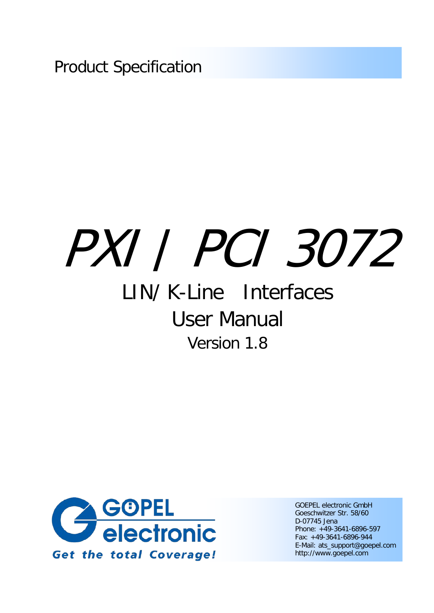Product Specification

# PXI / PCI 3072

# LIN/ K-Line Interfaces User Manual Version 1.8



GOEPEL electronic GmbH Goeschwitzer Str. 58/60 D-07745 Jena Phone: +49-3641-6896-597 Fax: +49-3641-6896-944 E-Mail: ats\_support@goepel.com http://www.goepel.com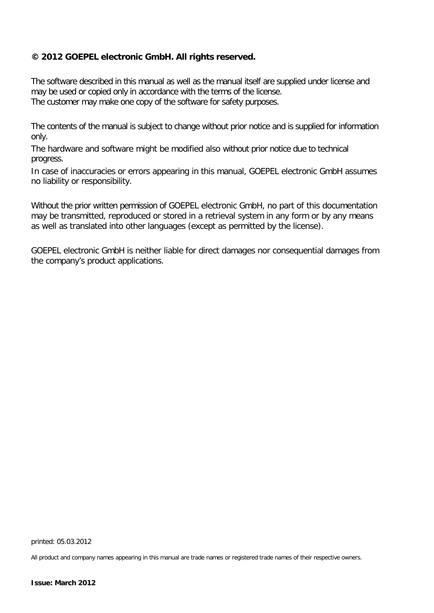#### **© 2012 GOEPEL electronic GmbH. All rights reserved.**

The software described in this manual as well as the manual itself are supplied under license and may be used or copied only in accordance with the terms of the license. The customer may make one copy of the software for safety purposes.

The contents of the manual is subject to change without prior notice and is supplied for information only.

The hardware and software might be modified also without prior notice due to technical progress.

In case of inaccuracies or errors appearing in this manual, GOEPEL electronic GmbH assumes no liability or responsibility.

Without the prior written permission of GOEPEL electronic GmbH, no part of this documentation may be transmitted, reproduced or stored in a retrieval system in any form or by any means as well as translated into other languages (except as permitted by the license).

GOEPEL electronic GmbH is neither liable for direct damages nor consequential damages from the company's product applications.

printed: 05.03.2012

All product and company names appearing in this manual are trade names or registered trade names of their respective owners.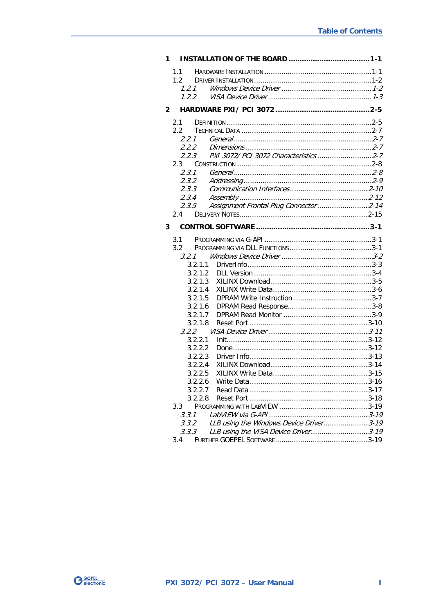| 1            |                                                  |  |
|--------------|--------------------------------------------------|--|
|              | $1.1 -$                                          |  |
|              | 1.2                                              |  |
|              | 1.2.1                                            |  |
|              | 1.2.2                                            |  |
| $\mathbf{2}$ |                                                  |  |
|              | 2.1                                              |  |
|              | 2.2                                              |  |
|              | 2.2.1                                            |  |
|              | 2.2.2                                            |  |
|              | PXI 3072/ PCI 3072 Characteristics2-7<br>2.2.3   |  |
|              | $2.3 -$                                          |  |
|              | 2.3.1                                            |  |
|              | 2.3.2                                            |  |
|              | 2.3.3                                            |  |
|              | 2.3.4                                            |  |
|              | Assignment Frontal Plug Connector2-14<br>2.3.5   |  |
|              | 2.4                                              |  |
| 3            |                                                  |  |
|              | 3.1                                              |  |
|              | 3.2                                              |  |
|              | 3.2.1                                            |  |
|              | 3.2.1.1                                          |  |
|              | 3.2.1.2                                          |  |
|              | 3.2.1.3                                          |  |
|              | 3.2.1.4                                          |  |
|              | 3.2.1.5                                          |  |
|              | 3.2.1.6                                          |  |
|              | 3.2.1.7                                          |  |
|              | 3.2.1.8                                          |  |
|              | 3.2.2                                            |  |
|              | 3.2.2.1                                          |  |
|              | 3.2.2.2                                          |  |
|              | 3.2.2.3                                          |  |
|              | 3.2.2.4<br>3.2.2.5                               |  |
|              |                                                  |  |
|              |                                                  |  |
|              | 3.2.2.7<br>3.2.2.8                               |  |
|              | 3.3                                              |  |
|              | 3.3.1                                            |  |
|              | LLB using the Windows Device Driver3-19<br>3.3.2 |  |
|              | LLB using the VISA Device Driver3-19<br>3.3.3    |  |
|              | $3.4^{\circ}$                                    |  |
|              |                                                  |  |

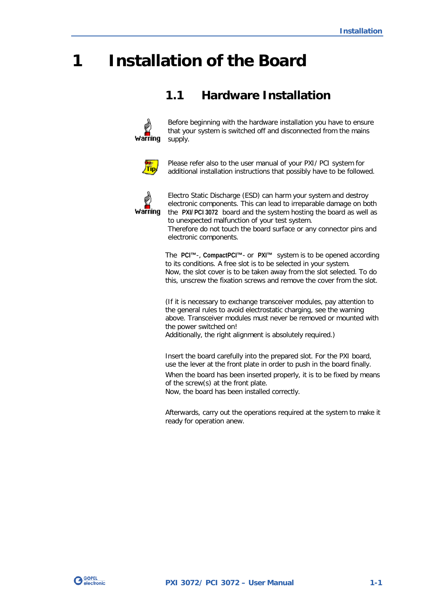# <span id="page-4-0"></span>**1 Installation of the Board**

## <span id="page-4-1"></span>**1.1 Hardware Installation**



Before beginning with the hardware installation you have to ensure that your system is switched off and disconnected from the mains supply.



Please refer also to the user manual of your PXI/ PCI system for additional installation instructions that possibly have to be followed.



Electro Static Discharge (ESD) can harm your system and destroy electronic components. This can lead to irreparable damage on both the **PXI/ PCI 3072** board and the system hosting the board as well as to unexpected malfunction of your test system.

Therefore do not touch the board surface or any connector pins and electronic components.

The **PCI™**-, **CompactPCI™**- or **PXI™** system is to be opened according to its conditions. A free slot is to be selected in your system. Now, the slot cover is to be taken away from the slot selected. To do this, unscrew the fixation screws and remove the cover from the slot.

(If it is necessary to exchange transceiver modules, pay attention to the general rules to avoid electrostatic charging, see the warning above. Transceiver modules must never be removed or mounted with the power switched on! Additionally, the right alignment is absolutely required.)

Insert the board carefully into the prepared slot. For the PXI board, use the lever at the front plate in order to push in the board finally. When the board has been inserted properly, it is to be fixed by means of the screw(s) at the front plate. Now, the board has been installed correctly.

Afterwards, carry out the operations required at the system to make it ready for operation anew.

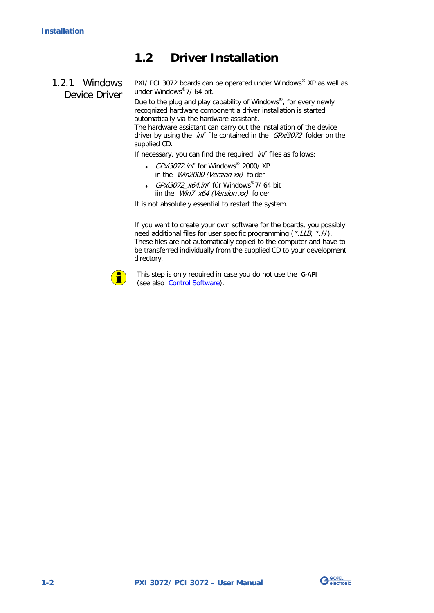## <span id="page-5-0"></span>**1.2 Driver Installation**

### <span id="page-5-1"></span>1.2.1 Windows Device Driver

PXI/ PCI 3072 boards can be operated under Windows® XP as well as under Windows®7/ 64 bit.

Due to the plug and play capability of Windows®, for every newly recognized hardware component a driver installation is started automatically via the hardware assistant.

The hardware assistant can carry out the installation of the device driver by using the *inf* file contained in the *GPxi3072* folder on the supplied CD.

If necessary, you can find the required *inf* files as follows:

- GPxi3072.inf for Windows® 2000/ XP in the *Win2000 (Version xx)* folder
- ♦ GPxi3072\_x64.inf für Windows®7/ 64 bit iin the Win7\_x64 (Version xx) folder

It is not absolutely essential to restart the system.

If you want to create your own software for the boards, you possibly need additional files for user specific programming (\*.LLB, \*.H). These files are not automatically copied to the computer and have to be transferred individually from the supplied CD to your development directory.



This step is only required in case you do not use the **G-API** (see also [Control Software\)](#page-20-0).

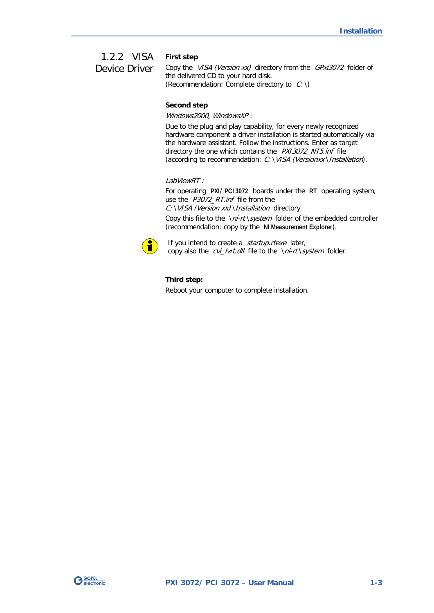#### **First step** 1.2.2 VISA

<span id="page-6-0"></span>Device Driver

Copy the VISA (Version xx) directory from the GPxi3072 folder of the delivered CD to your hard disk. (Recommendation: Complete directory to  $C: \setminus$ )

#### **Second step**

#### Windows2000, WindowsXP :

Due to the plug and play capability, for every newly recognized hardware component a driver installation is started automatically via the hardware assistant. Follow the instructions. Enter as target directory the one which contains the PXI3072\_NT5.inf file (according to recommendation: C: \VISA (Versionxx \Installation).

#### LabViewRT :

For operating **PXI**/ **PCI 3072** boards under the **RT** operating system, use the P3072\_RT.inf file from the C: \VISA (Version xx) \Installation directory.

Copy this file to the \ni-rt\system folder of the embedded controller (recommendation: copy by the **NI Measurement Explorer**).



If you intend to create a startup.rtexe later, copy also the *cvi\_lvrt.dll* file to the \ni-rt\system folder.

#### **Third step:**

Reboot your computer to complete installation.

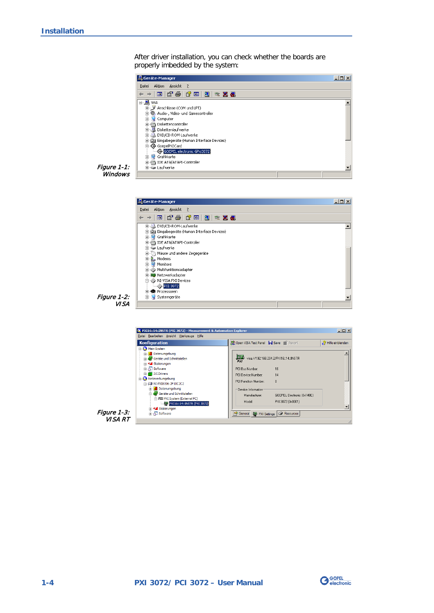After driver installation, you can check whether the boards are properly imbedded by the system:



Figure 1-1: **Windows** 



Figure 1-2: VISA



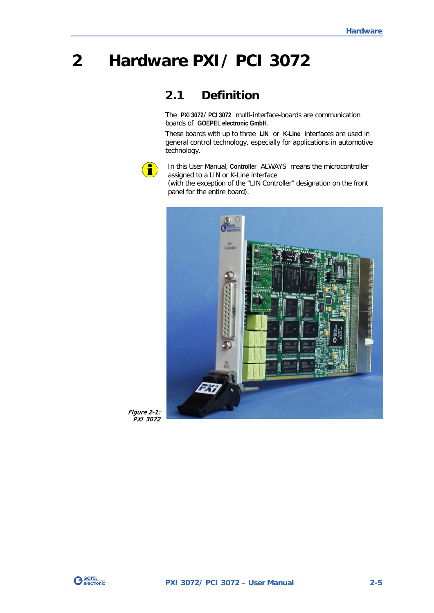# <span id="page-8-0"></span>**2 Hardware PXI/ PCI 3072**

## <span id="page-8-1"></span>**2.1 Definition**

The **PXI 3072**/ **PCI 3072** multi-interface-boards are communication boards of **GOEPEL electronic GmbH**.

These boards with up to three **LIN** or **K-Line** interfaces are used in general control technology, especially for applications in automotive technology.



In this User Manual, **Controller** ALWAYS means the microcontroller assigned to a LIN or K-Line interface (with the exception of the "LIN Controller" designation on the front panel for the entire board).



Figure 2-1: PXI 3072

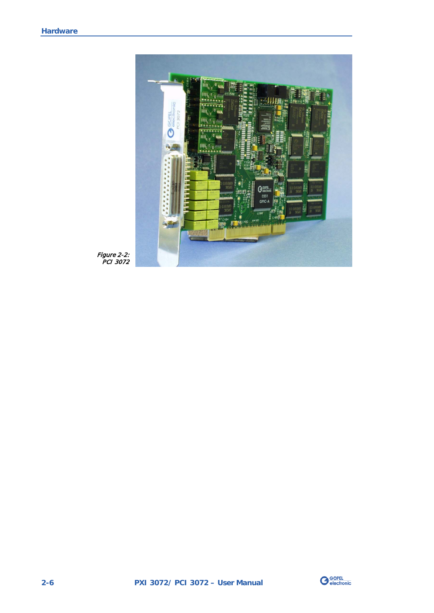

Figure 2-2: PCI 3072

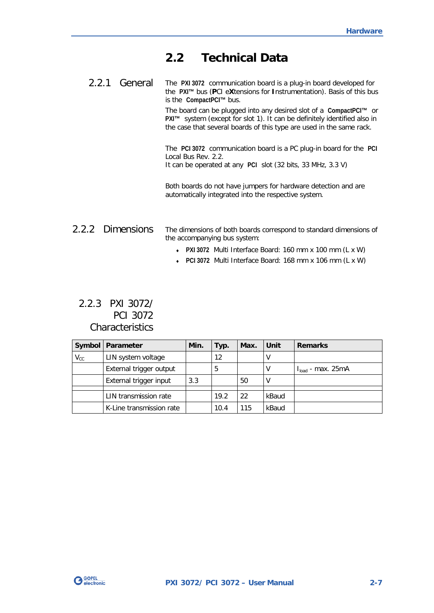## <span id="page-10-0"></span>**2.2 Technical Data**

<span id="page-10-1"></span>The **PXI 3072** communication board is a plug-in board developed for the **PXI™** bus (**P**CI e**X**tensions for **I**nstrumentation). Basis of this bus is the **CompactPCI™** bus. 2.2.1 General

> The board can be plugged into any desired slot of a **CompactPCI™** or **PXI™** system (except for slot 1). It can be definitely identified also in the case that several boards of this type are used in the same rack.

> The **PCI 3072** communication board is a PC plug-in board for the **PCI** Local Bus Rev. 2.2. It can be operated at any **PCI** slot (32 bits, 33 MHz, 3.3 V)

Both boards do not have jumpers for hardware detection and are automatically integrated into the respective system.

#### <span id="page-10-2"></span>The dimensions of both boards correspond to standard dimensions of the accompanying bus system: 2.2.2 Dimensions

- ♦ **PXI 3072** Multi Interface Board: 160 mm x 100 mm (L x W)
- ♦ **PCI 3072** Multi Interface Board: 168 mm x 106 mm (L x W)

#### <span id="page-10-3"></span>2.2.3 PXI 3072/ PCI 3072 **Characteristics**

|                            | Symbol   Parameter       | Min. | Typ. | Max. | Unit  | <b>Remarks</b>         |
|----------------------------|--------------------------|------|------|------|-------|------------------------|
| $\mathsf{V}_{\mathsf{CC}}$ | LIN system voltage       |      | 12   |      |       |                        |
|                            | External trigger output  |      | 5    |      |       | $I_{load}$ - max. 25mA |
|                            | External trigger input   | 3.3  |      | 50   |       |                        |
|                            |                          |      |      |      |       |                        |
|                            | LIN transmission rate    |      | 19.2 | 22   | kBaud |                        |
|                            | K-Line transmission rate |      | 10.4 | 115  | kBaud |                        |

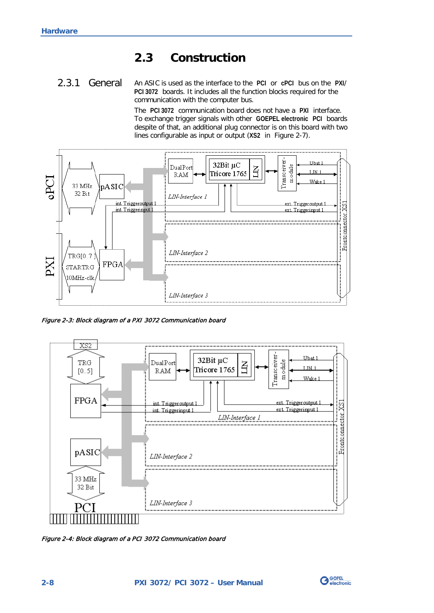## <span id="page-11-0"></span>**2.3 Construction**

#### <span id="page-11-1"></span>An ASIC is used as the interface to the **PCI** or **cPCI** bus on the **PXI**/ **PCI 3072** boards. It includes all the function blocks required for the communication with the computer bus. 2.3.1 General

The **PCI 3072** communication board does not have a **PXI** interface. To exchange trigger signals with other **GOEPEL electronic PCI** boards despite of that, an additional plug connector is on this board with two lines configurable as input or output (**XS2** in [Figure 2-7\)](#page-15-1).



Figure 2-3: Block diagram of a PXI 3072 Communication board



Figure 2-4: Block diagram of a PCI 3072 Communication board

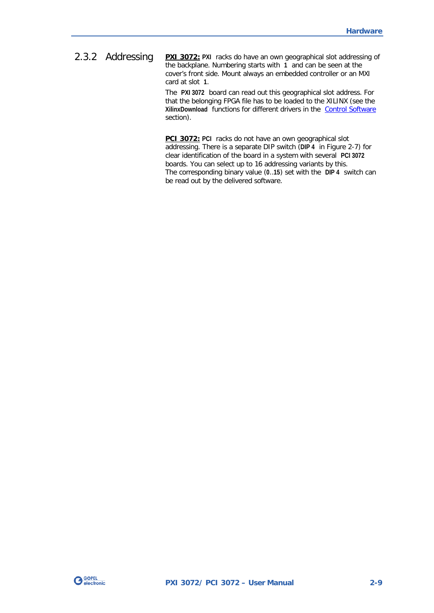<span id="page-12-0"></span>**PXI 3072:** PXI racks do have an own geographical slot addressing of the backplane. Numbering starts with **1** and can be seen at the cover's front side. Mount always an embedded controller or an MXI card at slot **1**. 2.3.2 Addressing

> The **PXI 3072** board can read out this geographical slot address. For that the belonging FPGA file has to be loaded to the XILINX (see the **XilinxDownload** functions for different drivers in the [Control Software](#page-20-0)  section).

> **PCI 3072: PCI** racks do not have an own geographical slot addressing. There is a separate DIP switch (**DIP 4** in [Figure 2-7\)](#page-15-1) for clear identification of the board in a system with several **PCI 3072** boards. You can select up to 16 addressing variants by this. The corresponding binary value (**0**..**15**) set with the **DIP 4** switch can be read out by the delivered software.

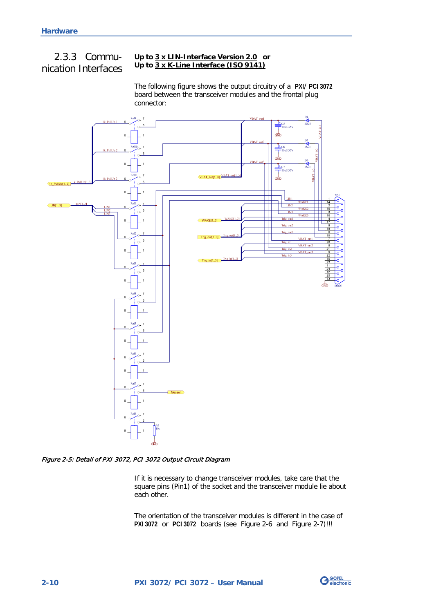## <span id="page-13-0"></span>2.3.3 Communication Interfaces

#### **Up to 3 x LIN-Interface Version 2.0 or Up to 3 x K-Line Interface (ISO 9141)**

The following figure shows the output circuitry of a **PXI**/ **PCI 3072** board between the transceiver modules and the frontal plug connector:



#### <span id="page-13-1"></span>Figure 2-5: Detail of PXI 3072, PCI 3072 Output Circuit Diagram

If it is necessary to change transceiver modules, take care that the square pins (Pin1) of the socket and the transceiver module lie about each other.

The orientation of the transceiver modules is different in the case of **PXI 3072** or **PCI 3072** boards (see [Figure 2-6](#page-15-2) and [Figure 2-7\)](#page-15-1)!!!

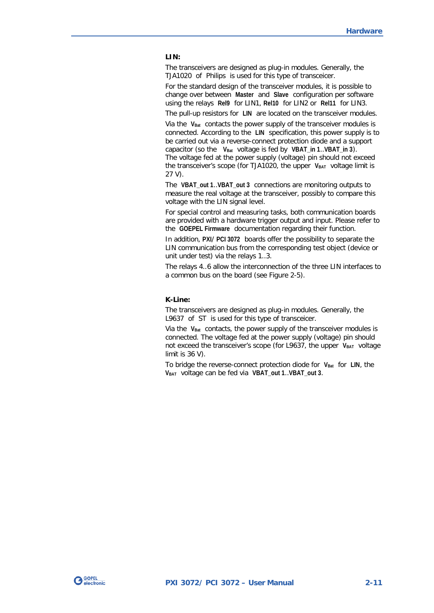#### **LIN:**

The transceivers are designed as plug-in modules. Generally, the TJA1020 of Philips is used for this type of transceicer.

For the standard design of the transceiver modules, it is possible to change over between **Master** and **Slave** configuration per software using the relays **Rel9** for LIN1, **Rel10** for LIN2 or **Rel11** for LIN3.

The pull-up resistors for **LIN** are located on the transceiver modules.

Via the V<sub>Bat</sub> contacts the power supply of the transceiver modules is connected. According to the **LIN** specification, this power supply is to be carried out via a reverse-connect protection diode and a support capacitor (so the V<sub>Bat</sub> voltage is fed by VBAT in 1..VBAT in 3). The voltage fed at the power supply (voltage) pin should not exceed the transceiver's scope (for TJA1020, the upper V<sub>BAT</sub> voltage limit is 27 V).

The **VBAT\_out 1**..**VBAT\_out 3** connections are monitoring outputs to measure the real voltage at the transceiver, possibly to compare this voltage with the LIN signal level.

For special control and measuring tasks, both communication boards are provided with a hardware trigger output and input. Please refer to the **GOEPEL Firmware** documentation regarding their function.

In addition, **PXI**/ **PCI 3072** boards offer the possibility to separate the LIN communication bus from the corresponding test object (device or unit under test) via the relays 1..3.

The relays 4..6 allow the interconnection of the three LIN interfaces to a common bus on the board (see [Figure 2-5\)](#page-13-1).

#### **K-Line:**

The transceivers are designed as plug-in modules. Generally, the L9637 of ST is used for this type of transceicer.

Via the V<sub>Bat</sub> contacts, the power supply of the transceiver modules is connected. The voltage fed at the power supply (voltage) pin should not exceed the transceiver's scope (for L9637, the upper VBAT voltage limit is 36 V).

To bridge the reverse-connect protection diode for **VBat** for **LIN**, the **VBAT** voltage can be fed via **VBAT\_out 1**..**VBAT\_out 3**.

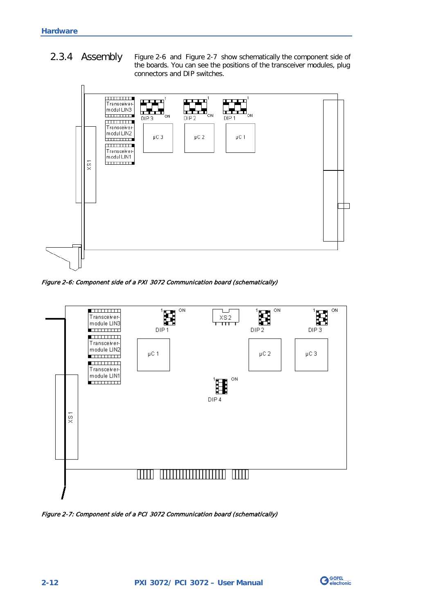<span id="page-15-0"></span>[Figure 2-6](#page-15-2) and [Figure 2-7](#page-15-1) show schematically the component side of the boards. You can see the positions of the transceiver modules, plug connectors and DIP switches. 2.3.4 Assembly



<span id="page-15-2"></span>Figure 2-6: Component side of a PXI 3072 Communication board (schematically)



<span id="page-15-1"></span>Figure 2-7: Component side of a PCI 3072 Communication board (schematically)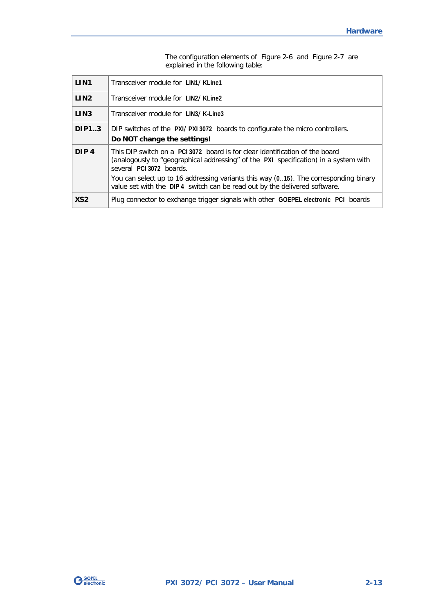|                  | explained in the following table.                                                                                                                                                                                                                                                                                                                                     |
|------------------|-----------------------------------------------------------------------------------------------------------------------------------------------------------------------------------------------------------------------------------------------------------------------------------------------------------------------------------------------------------------------|
| LIN <sub>1</sub> | Transceiver module for LIN1/KLine1                                                                                                                                                                                                                                                                                                                                    |
| LIN <sub>2</sub> | Transceiver module for LIN2/KLine2                                                                                                                                                                                                                                                                                                                                    |
| LIN <sub>3</sub> | Transceiver module for LIN3/K-Line3                                                                                                                                                                                                                                                                                                                                   |
| <b>DIP1.3</b>    | DIP switches of the PXI/PXI 3072 boards to configurate the micro controllers.<br>Do NOT change the settings!                                                                                                                                                                                                                                                          |
| DIP <sub>4</sub> | This DIP switch on a PCI 3072 board is for clear identification of the board<br>(analogously to "geographical addressing" of the PXI specification) in a system with<br>several PCI 3072 boards.<br>You can select up to 16 addressing variants this way (015). The corresponding binary<br>value set with the DIP4 switch can be read out by the delivered software. |
| XS <sub>2</sub>  | Plug connector to exchange trigger signals with other GOEPEL electronic PCI boards                                                                                                                                                                                                                                                                                    |

The configuration elements of [Figure 2-6](#page-15-2) and [Figure 2-7](#page-15-1) are explained in the following table:

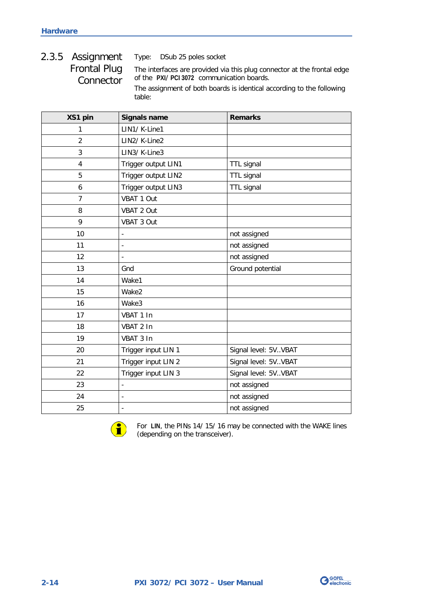## <span id="page-17-0"></span>2.3.5 Assignment Frontal Plug **Connector**

Type: DSub 25 poles socket

The interfaces are provided via this plug connector at the frontal edge of the **PXI**/ **PCI 3072** communication boards.

The assignment of both boards is identical according to the following table:

| XS1 pin        | <b>Signals name</b>      | <b>Remarks</b>         |
|----------------|--------------------------|------------------------|
| 1              | LIN1/ K-Line1            |                        |
| $\overline{2}$ | LIN2/ K-Line2            |                        |
| 3              | LIN3/K-Line3             |                        |
| $\overline{4}$ | Trigger output LIN1      | TTL signal             |
| 5              | Trigger output LIN2      | TTL signal             |
| 6              | Trigger output LIN3      | <b>TTL signal</b>      |
| $\overline{7}$ | VBAT 1 Out               |                        |
| 8              | VBAT 2 Out               |                        |
| 9              | VBAT 3 Out               |                        |
| 10             | $\overline{\phantom{0}}$ | not assigned           |
| 11             |                          | not assigned           |
| 12             | $\overline{a}$           | not assigned           |
| 13             | Gnd                      | Ground potential       |
| 14             | Wake1                    |                        |
| 15             | Wake2                    |                        |
| 16             | Wake3                    |                        |
| 17             | VBAT 1 In                |                        |
| 18             | VBAT 2 In                |                        |
| 19             | VBAT 3 In                |                        |
| 20             | Trigger input LIN 1      | Signal level: 5V. VBAT |
| 21             | Trigger input LIN 2      | Signal level: 5V. VBAT |
| 22             | Trigger input LIN 3      | Signal level: 5VVBAT   |
| 23             |                          | not assigned           |
| 24             | $\overline{a}$           | not assigned           |
| 25             | $\overline{\phantom{a}}$ | not assigned           |



For **LIN**, the PINs 14/ 15/ 16 may be connected with the WAKE lines (depending on the transceiver).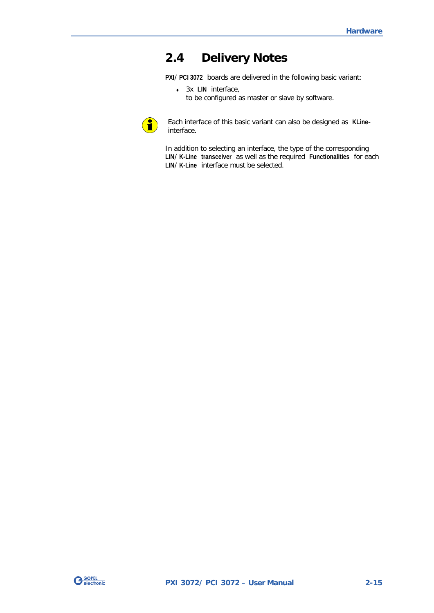## <span id="page-18-0"></span>**2.4 Delivery Notes**

**PXI**/ **PCI 3072** boards are delivered in the following basic variant:

♦ 3x **LIN** interface, to be configured as master or slave by software.



Each interface of this basic variant can also be designed as **KLine**interface.

In addition to selecting an interface, the type of the corresponding **LIN**/ **K-Line transceiver** as well as the required **Functionalities** for each **LIN**/ **K-Line** interface must be selected.

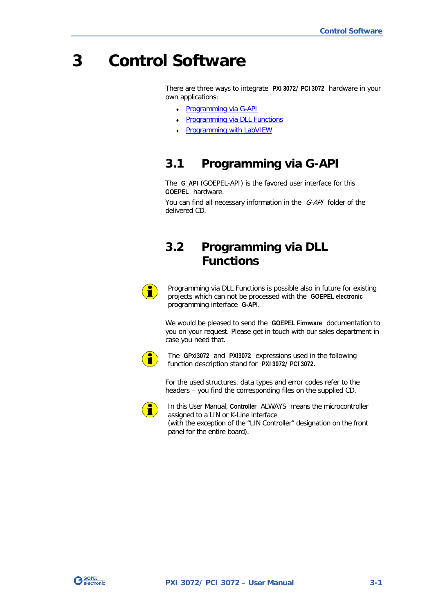## <span id="page-20-0"></span>**3 Control Software**

There are three ways to integrate **PXI 3072**/ **PCI 3072** hardware in your own applications:

- Programming via G-API
- **Programming via DLL Functions**
- **Programming with LabVIEW**

## <span id="page-20-1"></span>**3.1 Programming via G-API**

The **G\_API** (GOEPEL-API) is the favored user interface for this **GOEPEL** hardware.

You can find all necessary information in the G-API folder of the delivered CD.

## <span id="page-20-2"></span>**3.2 Programming via DLL Functions**



Programming via DLL Functions is possible also in future for existing projects which can not be processed with the **GOEPEL electronic** programming interface **G-API**.

We would be pleased to send the **GOEPEL Firmware** documentation to you on your request. Please get in touch with our sales department in case you need that.



The **GPxi3072** and **PXI3072** expressions used in the following function description stand for **PXI 3072**/ **PCI 3072**.

For the used structures, data types and error codes refer to the headers – you find the corresponding files on the supplied CD.



In this User Manual, **Controller** ALWAYS means the microcontroller assigned to a LIN or K-Line interface (with the exception of the "LIN Controller" designation on the front panel for the entire board).

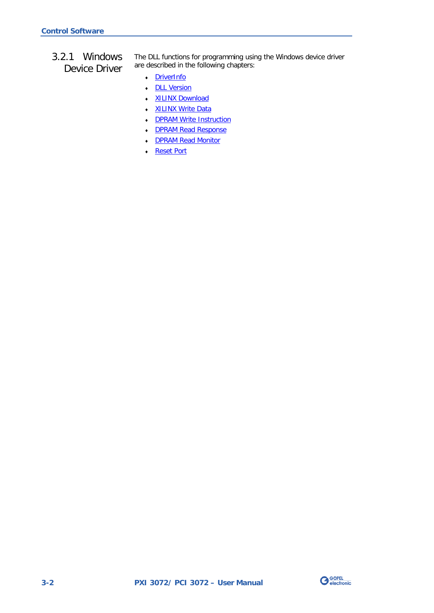<span id="page-21-0"></span>3.2.1 Windows Device Driver The DLL functions for programming using the Windows device driver are described in the following chapters:

- ♦ [DriverInfo](#page-22-0)
- ♦ [DLL Version](#page-23-0)
- ♦ [XILINX Download](#page-24-1)
- ♦ [XILINX Write Data](#page-25-1)
- DPRAM Write Instruction
- ♦ [DPRAM Read Response](#page-27-0)
- DPRAM Read Monitor
- ♦ [Reset Port](#page-29-0)

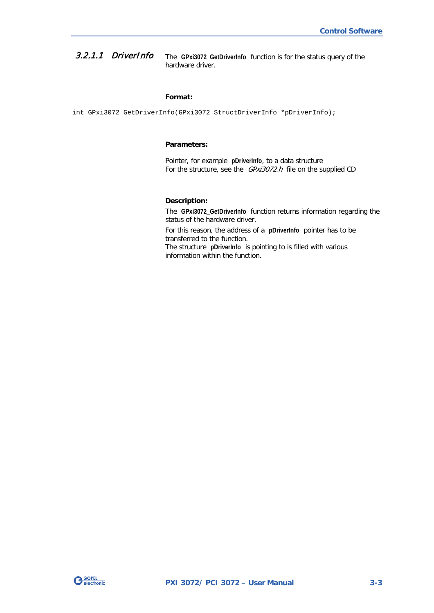<span id="page-22-0"></span>The **GPxi3072\_GetDriverInfo** function is for the status query of the hardware driver. 3.2.1.1 DriverInfo

#### **Format:**

int GPxi3072\_GetDriverInfo(GPxi3072\_StructDriverInfo \*pDriverInfo);

#### **Parameters:**

Pointer, for example **pDriverInfo**, to a data structure For the structure, see the *GPxi3072.h* file on the supplied CD

#### **Description:**

The **GPxi3072\_GetDriverInfo** function returns information regarding the status of the hardware driver.

For this reason, the address of a **pDriverInfo** pointer has to be transferred to the function. The structure **pDriverInfo** is pointing to is filled with various

information within the function.

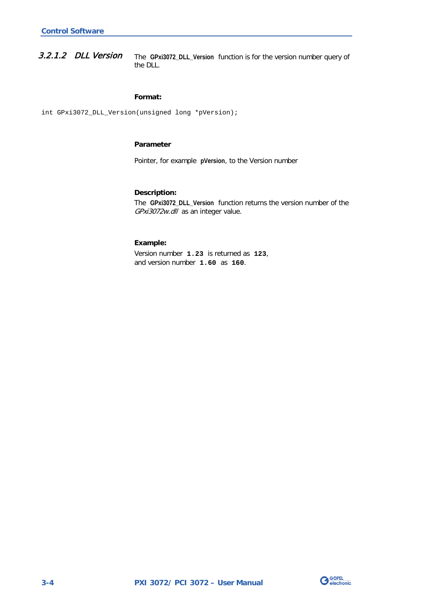<span id="page-23-0"></span>The **GPxi3072\_DLL\_Version** function is for the version number query of the DLL. 3.2.1.2 DLL Version

#### **Format:**

int GPxi3072\_DLL\_Version(unsigned long \*pVersion);

#### **Parameter**

Pointer, for example **pVersion**, to the Version number

#### **Description:**

The **GPxi3072\_DLL\_Version** function returns the version number of the GPxi3072w.dll as an integer value.

#### **Example:**

Version number **1.23** is returned as **123**, and version number **1.60** as **160**.

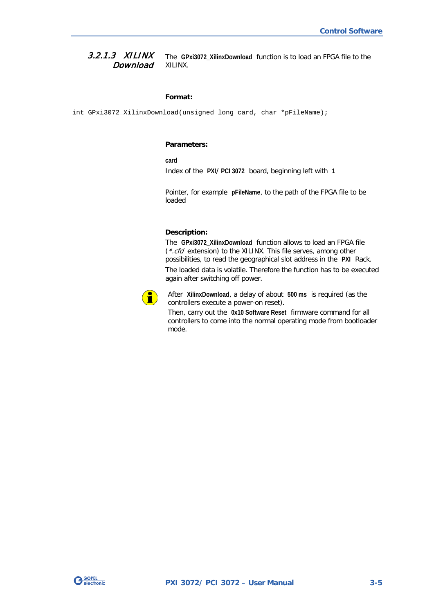#### <span id="page-24-1"></span><span id="page-24-0"></span>The **GPxi3072\_XilinxDownload** function is to load an FPGA file to the XILINX. 3.2.1.3 XILINX **Download**

#### **Format:**

int GPxi3072\_XilinxDownload(unsigned long card, char \*pFileName);

#### **Parameters:**

**card**

Index of the **PXI**/ **PCI 3072** board, beginning left with **1**

Pointer, for example **pFileName**, to the path of the FPGA file to be loaded

#### **Description:**

The **GPxi3072\_XilinxDownload** function allows to load an FPGA file (\*.cfd extension) to the XILINX. This file serves, among other possibilities, to read the geographical slot address in the **PXI** Rack. The loaded data is volatile. Therefore the function has to be executed again after switching off power.



After **XilinxDownload**, a delay of about **500 ms** is required (as the controllers execute a power-on reset).

Then, carry out the **0x10 Software Reset** firmware command for all controllers to come into the normal operating mode from bootloader mode.

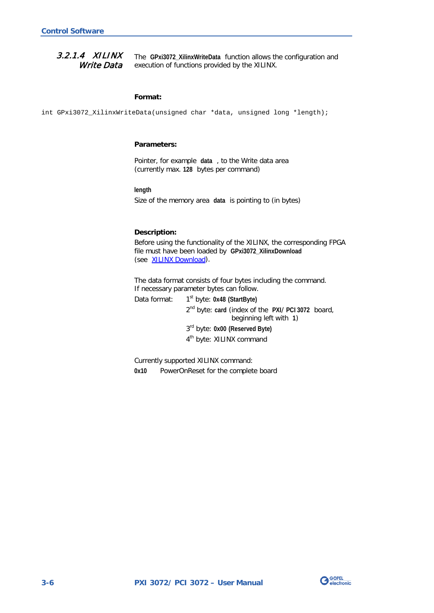#### <span id="page-25-1"></span><span id="page-25-0"></span>The **GPxi3072\_XilinxWriteData** function allows the configuration and execution of functions provided by the XILINX. 3.2.1.4 XILINX Write Data

#### **Format:**

int GPxi3072\_XilinxWriteData(unsigned char \*data, unsigned long \*length);

#### **Parameters:**

Pointer, for example **data** , to the Write data area (currently max. **128** bytes per command)

#### **length**

Size of the memory area **data** is pointing to (in bytes)

#### **Description:**

Before using the functionality of the XILINX, the corresponding FPGA file must have been loaded by **GPxi3072\_XilinxDownload** (see XILINX [Download\)](#page-24-1).

The data format consists of four bytes including the command. If necessary parameter bytes can follow.

Data format: 1<sup>st</sup> byte: 0x48 (StartByte)

2nd byte: **card** (index of the **PXI**/ **PCI 3072** board, beginning left with **1**) 3rd byte: **0x00 (Reserved Byte)**

4<sup>th</sup> byte: XILINX command

Currently supported XILINX command:

**0x10** PowerOnReset for the complete board

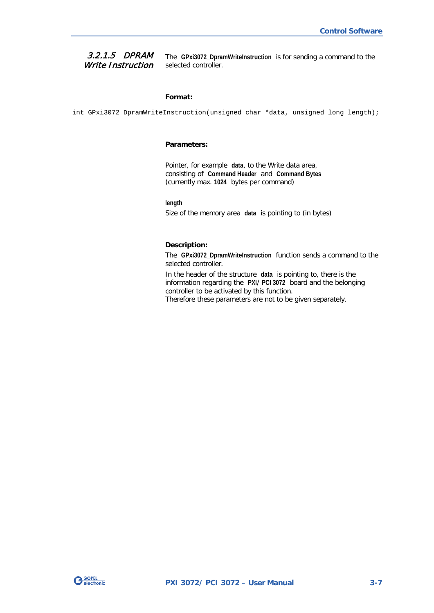#### <span id="page-26-0"></span>3.2.1.5 DPRAM Write Instruction

The **GPxi3072\_DpramWriteInstruction** is for sending a command to the selected controller.

#### **Format:**

int GPxi3072\_DpramWriteInstruction(unsigned char \*data, unsigned long length);

#### **Parameters:**

Pointer, for example **data**, to the Write data area, consisting of **Command Header** and **Command Bytes** (currently max. **1024** bytes per command)

**length**

Size of the memory area **data** is pointing to (in bytes)

#### **Description:**

The **GPxi3072\_DpramWriteInstruction** function sends a command to the selected controller.

In the header of the structure **data** is pointing to, there is the information regarding the **PXI**/ **PCI 3072** board and the belonging controller to be activated by this function. Therefore these parameters are not to be given separately.

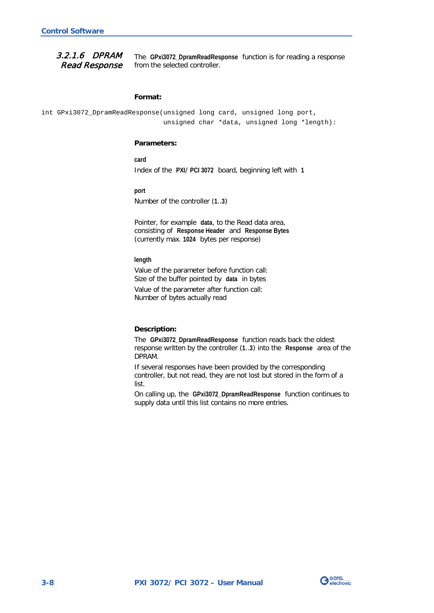<span id="page-27-0"></span>3.2.1.6 DPRAM Read Response

The **GPxi3072\_DpramReadResponse** function is for reading a response from the selected controller.

#### **Format:**

int GPxi3072\_DpramReadResponse(unsigned long card, unsigned long port, unsigned char \*data, unsigned long \*length):

#### **Parameters:**

**card**

Index of the **PXI**/ **PCI 3072** board, beginning left with **1**

**port**

Number of the controller (**1**..**3**)

Pointer, for example **data**, to the Read data area, consisting of **Response Header** and **Response Bytes** (currently max. **1024** bytes per response)

#### **length**

Value of the parameter before function call: Size of the buffer pointed by **data** in bytes

Value of the parameter after function call: Number of bytes actually read

#### **Description:**

The **GPxi3072\_DpramReadResponse** function reads back the oldest response written by the controller (**1**..**3**) into the **Response** area of the DPRAM.

If several responses have been provided by the corresponding controller, but not read, they are not lost but stored in the form of a list.

On calling up, the **GPxi3072\_DpramReadResponse** function continues to supply data until this list contains no more entries.

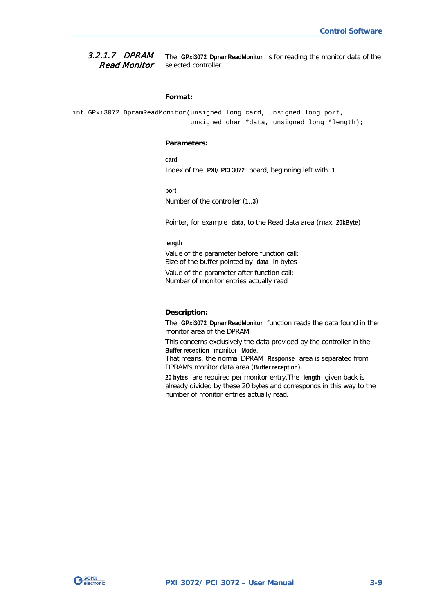#### <span id="page-28-0"></span>The **GPxi3072\_DpramReadMonitor** is for reading the monitor data of the selected controller. 3.2.1.7 DPRAM Read Monitor

#### **Format:**

```
int GPxi3072_DpramReadMonitor(unsigned long card, unsigned long port,
                   unsigned char *data, unsigned long *length);
```
#### **Parameters:**

**card** Index of the **PXI**/ **PCI 3072** board, beginning left with **1**

#### **port**

Number of the controller (**1**..**3**)

Pointer, for example **data**, to the Read data area (max. **20kByte**)

#### **length**

Value of the parameter before function call: Size of the buffer pointed by **data** in bytes

Value of the parameter after function call: Number of monitor entries actually read

#### **Description:**

The **GPxi3072\_DpramReadMonitor** function reads the data found in the monitor area of the DPRAM.

This concerns exclusively the data provided by the controller in the **Buffer reception** monitor **Mode**.

That means, the normal DPRAM **Response** area is separated from DPRAM's monitor data area (**Buffer reception**).

**20 bytes** are required per monitor entry.The **length** given back is already divided by these 20 bytes and corresponds in this way to the number of monitor entries actually read.

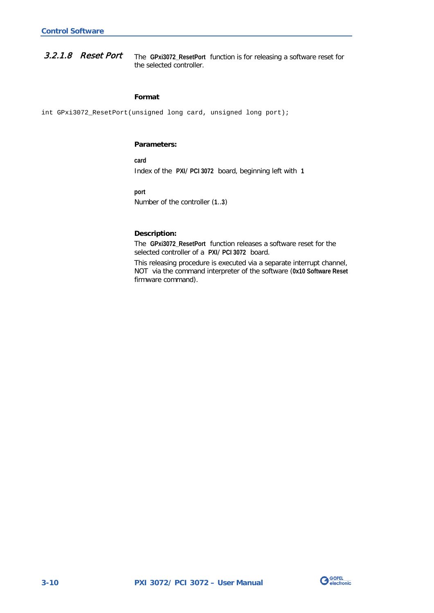<span id="page-29-0"></span>The **GPxi3072\_ResetPort** function is for releasing a software reset for the selected controller. 3.2.1.8 Reset Port

#### **Format**

int GPxi3072\_ResetPort(unsigned long card, unsigned long port);

#### **Parameters:**

**card** Index of the **PXI**/ **PCI 3072** board, beginning left with **1**

**port**

Number of the controller (**1**..**3**)

#### **Description:**

The **GPxi3072\_ResetPort** function releases a software reset for the selected controller of a **PXI**/ **PCI 3072** board.

This releasing procedure is executed via a separate interrupt channel, NOT via the command interpreter of the software (**0x10 Software Reset** firmware command).

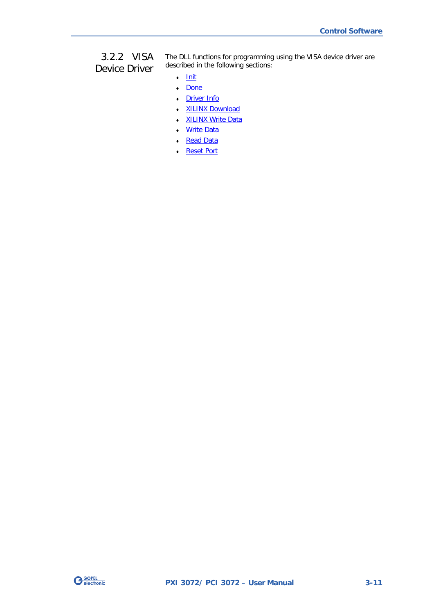## <span id="page-30-0"></span>3.2.2 VISA Device Driver

The DLL functions for programming using the VISA device driver are described in the following sections:

- ♦ [Init](#page-31-2)
- ♦ [Done](#page-31-2)
- ♦ [Driver Info](#page-32-1)
- XILINX Download
- ♦ [XILINX Write Data](#page-34-1)
- Write Data
- Read Data
- ♦ [Reset Port](#page-37-0)

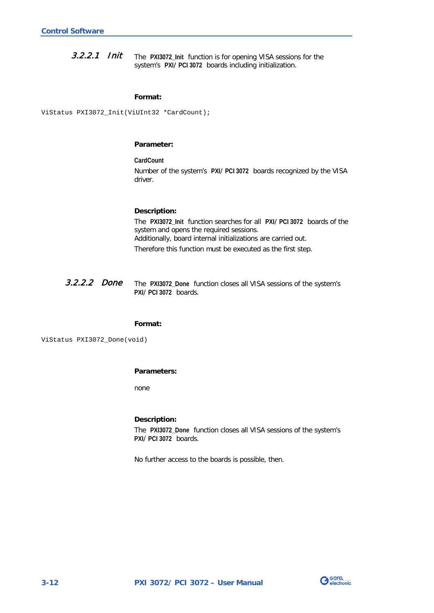<span id="page-31-2"></span><span id="page-31-0"></span>The **PXI3072\_Init** function is for opening VISA sessions for the system's **PXI**/ **PCI 3072** boards including initialization. 3.2.2.1 Init

#### **Format:**

ViStatus PXI3072\_Init(ViUInt32 \*CardCount);

#### **Parameter:**

**CardCount** Number of the system's **PXI**/ **PCI 3072** boards recognized by the VISA driver.

#### **Description:**

The **PXI3072\_Init** function searches for all **PXI**/ **PCI 3072** boards of the system and opens the required sessions. Additionally, board internal initializations are carried out. Therefore this function must be executed as the first step.

<span id="page-31-1"></span>The **PXI3072\_Done** function closes all VISA sessions of the system's **PXI**/ **PCI 3072** boards. 3.2.2.2 Done

#### **Format:**

ViStatus PXI3072\_Done(void)

#### **Parameters:**

none

#### **Description:**

The **PXI3072\_Done** function closes all VISA sessions of the system's **PXI**/ **PCI 3072** boards.

No further access to the boards is possible, then.

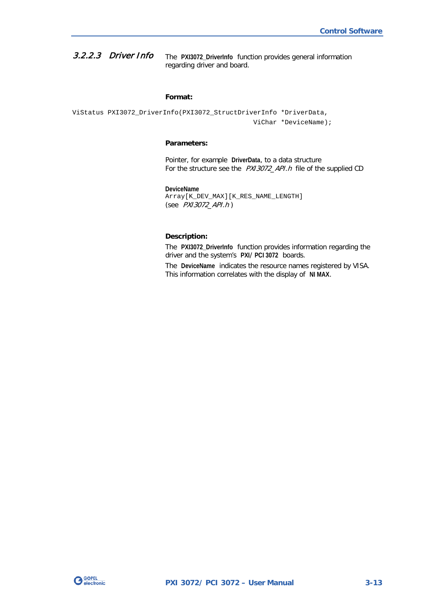<span id="page-32-1"></span><span id="page-32-0"></span>The **PXI3072\_DriverInfo** function provides general information regarding driver and board. 3.2.2.3 Driver Info

#### **Format:**

ViStatus PXI3072\_DriverInfo(PXI3072\_StructDriverInfo \*DriverData, ViChar \*DeviceName);

#### **Parameters:**

Pointer, for example **DriverData**, to a data structure For the structure see the PXI3072\_API.h file of the supplied CD

#### **DeviceName**

Array[K\_DEV\_MAX][K\_RES\_NAME\_LENGTH] (see PXI3072\_API.h )

#### **Description:**

The **PXI3072\_DriverInfo** function provides information regarding the driver and the system's **PXI**/ **PCI 3072** boards.

The **DeviceName** indicates the resource names registered by VISA. This information correlates with the display of **NI MAX**.

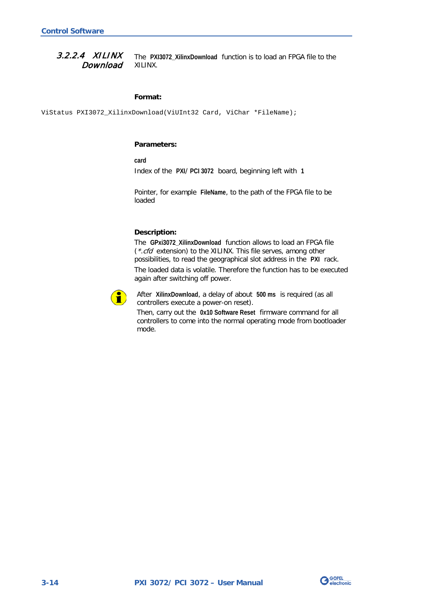<span id="page-33-1"></span><span id="page-33-0"></span>The **PXI3072\_XilinxDownload** function is to load an FPGA file to the XILINX. 3.2.2.4 XILINX Download

#### **Format:**

ViStatus PXI3072\_XilinxDownload(ViUInt32 Card, ViChar \*FileName);

#### **Parameters:**

**card**

Index of the **PXI**/ **PCI 3072** board, beginning left with **1**

Pointer, for example **FileName**, to the path of the FPGA file to be loaded

#### **Description:**

The **GPxi3072\_XilinxDownload** function allows to load an FPGA file (\*.cfd extension) to the XILINX. This file serves, among other possibilities, to read the geographical slot address in the **PXI** rack. The loaded data is volatile. Therefore the function has to be executed again after switching off power.



After **XilinxDownload**, a delay of about **500 ms** is required (as all controllers execute a power-on reset).

Then, carry out the **0x10 Software Reset** firmware command for all controllers to come into the normal operating mode from bootloader mode.

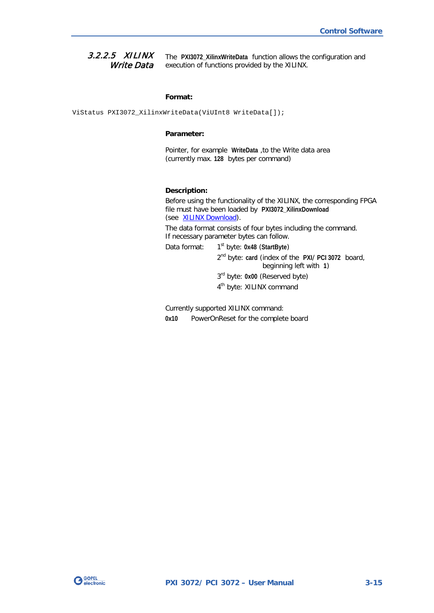<span id="page-34-1"></span><span id="page-34-0"></span>The **PXI3072\_XilinxWriteData** function allows the configuration and execution of functions provided by the XILINX. 3.2.2.5 XILINX Write Data

#### **Format:**

ViStatus PXI3072\_XilinxWriteData(ViUInt8 WriteData[]);

#### **Parameter:**

Pointer, for example **WriteData** ,to the Write data area (currently max. **128** bytes per command)

#### **Description:**

Before using the functionality of the XILINX, the corresponding FPGA file must have been loaded by **PXI3072\_XilinxDownload** (see [XILINX Download\)](#page-33-1).

The data format consists of four bytes including the command. If necessary parameter bytes can follow.

Data format: 1<sup>st</sup> byte: 0x48 (StartByte)

2nd byte: **card** (index of the **PXI**/ **PCI 3072** board, beginning left with **1**) 3rd byte: **0x00** (Reserved byte)

4<sup>th</sup> byte: XILINX command

Currently supported XILINX command: **0x10** PowerOnReset for the complete board

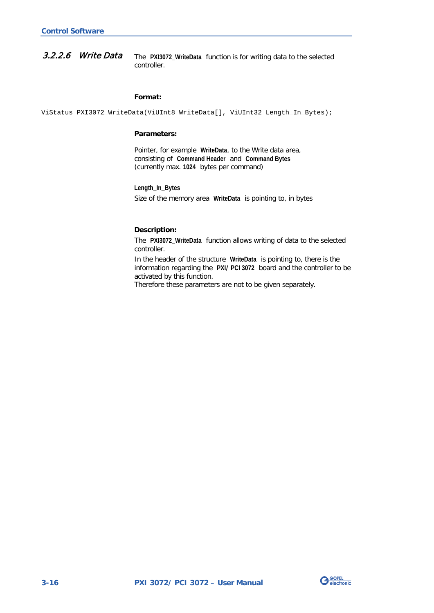<span id="page-35-1"></span><span id="page-35-0"></span>The **PXI3072\_WriteData** function is for writing data to the selected controller. 3.2.2.6 Write Data

#### **Format:**

ViStatus PXI3072\_WriteData(ViUInt8 WriteData[], ViUInt32 Length\_In\_Bytes);

#### **Parameters:**

Pointer, for example **WriteData**, to the Write data area, consisting of **Command Header** and **Command Bytes** (currently max. **1024** bytes per command)

#### **Length\_In\_Bytes**

Size of the memory area **WriteData** is pointing to, in bytes

#### **Description:**

The **PXI3072\_WriteData** function allows writing of data to the selected controller.

In the header of the structure **WriteData** is pointing to, there is the information regarding the **PXI**/ **PCI 3072** board and the controller to be activated by this function.

Therefore these parameters are not to be given separately.

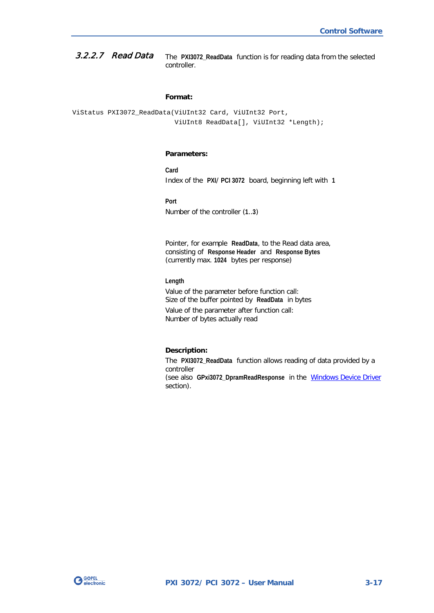<span id="page-36-1"></span><span id="page-36-0"></span>The **PXI3072\_ReadData** function is for reading data from the selected controller. 3.2.2.7 Read Data

#### **Format:**

ViStatus PXI3072\_ReadData(ViUInt32 Card, ViUInt32 Port, ViUInt8 ReadData[], ViUInt32 \*Length);

#### **Parameters:**

**Card** Index of the **PXI**/ **PCI 3072** board, beginning left with **1**

**Port**

Number of the controller (**1**..**3**)

Pointer, for example **ReadData**, to the Read data area, consisting of **Response Header** and **Response Bytes** (currently max. **1024** bytes per response)

#### **Length**

Value of the parameter before function call: Size of the buffer pointed by **ReadData** in bytes Value of the parameter after function call: Number of bytes actually read

#### **Description:**

The **PXI3072\_ReadData** function allows reading of data provided by a controller (see also **GPxi3072\_DpramReadResponse** in the [Windows Device Driver](#page-21-0) 

section).

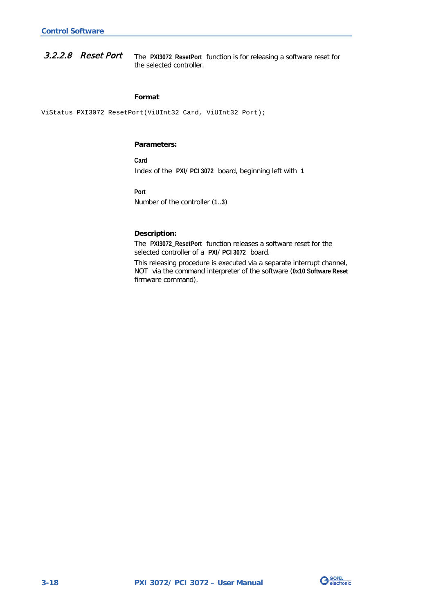<span id="page-37-0"></span>The **PXI3072\_ResetPort** function is for releasing a software reset for the selected controller. 3.2.2.8 Reset Port

#### **Format**

ViStatus PXI3072\_ResetPort(ViUInt32 Card, ViUInt32 Port);

#### **Parameters:**

**Card** Index of the **PXI**/ **PCI 3072** board, beginning left with **1**

**Port**

Number of the controller (**1**..**3**)

#### **Description:**

The **PXI3072\_ResetPort** function releases a software reset for the selected controller of a **PXI**/ **PCI 3072** board.

This releasing procedure is executed via a separate interrupt channel, NOT via the command interpreter of the software (**0x10 Software Reset** firmware command).

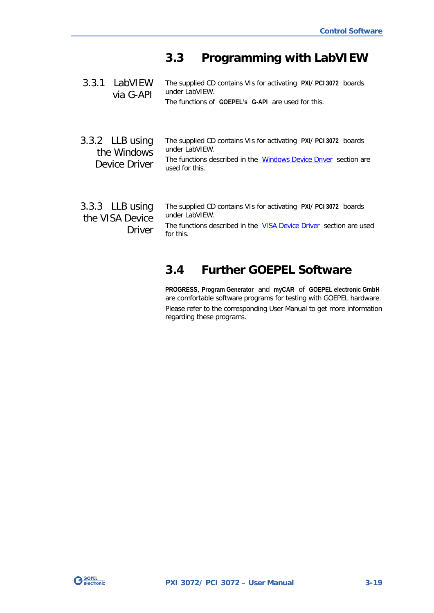## <span id="page-38-0"></span>**3.3 Programming with LabVIEW**

<span id="page-38-2"></span><span id="page-38-1"></span>

| 3.3.1 LabVIEW<br>via G-API                            | The supplied CD contains VIs for activating PXI/ PCI 3072 boards<br>under LabVIFW.<br>The functions of GOEPEL's G-API are used for this.                                 |
|-------------------------------------------------------|--------------------------------------------------------------------------------------------------------------------------------------------------------------------------|
| 3.3.2 LLB using<br>the Windows<br>Device Driver       | The supplied CD contains VIs for activating PXI/ PCI 3072 boards<br>under LabVIEW.<br>The functions described in the Windows Device Driver section are<br>used for this. |
| $3.3.3$ LLB using<br>the VISA Device<br><b>Driver</b> | The supplied CD contains VIs for activating PXI/ PCI 3072 boards<br>under LabVIEW.<br>The functions described in the VISA Device Driver section are used<br>for this.    |

## <span id="page-38-4"></span><span id="page-38-3"></span>**3.4 Further GOEPEL Software**

**PROGRESS**, **Program Generator** and **myCAR** of **GOEPEL electronic GmbH** are comfortable software programs for testing with GOEPEL hardware. Please refer to the corresponding User Manual to get more information regarding these programs.